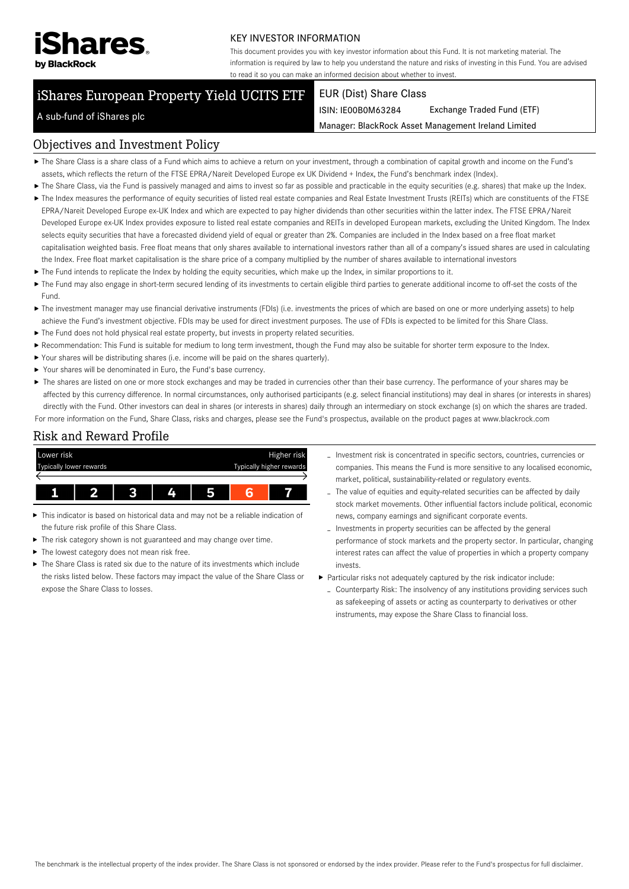

#### KEY INVESTOR INFORMATION

This document provides you with key investor information about this Fund. It is not marketing material. The information is required by law to help you understand the nature and risks of investing in this Fund. You are advised to read it so you can make an informed decision about whether to invest.

# iShares European Property Yield UCITS ETF

#### EUR (Dist) Share Class

ISIN: IE00B0M63284 Exchange Traded Fund (ETF)

Manager: BlackRock Asset Management Ireland Limited

### A sub-fund of iShares plc

#### Objectives and Investment Policy

- The Share Class is a share class of a Fund which aims to achieve a return on your investment, through a combination of capital growth and income on the Fund's assets, which reflects the return of the FTSE EPRA/Nareit Developed Europe ex UK Dividend + Index, the Fund's benchmark index (Index).
- ▶ The Share Class, via the Fund is passively managed and aims to invest so far as possible and practicable in the equity securities (e.g. shares) that make up the Index.
- ▶ The Index measures the performance of equity securities of listed real estate companies and Real Estate Investment Trusts (REITs) which are constituents of the FTSE EPRA/Nareit Developed Europe ex-UK Index and which are expected to pay higher dividends than other securities within the latter index. The FTSE EPRA/Nareit Developed Europe ex-UK Index provides exposure to listed real estate companies and REITs in developed European markets, excluding the United Kingdom. The Index selects equity securities that have a forecasted dividend yield of equal or greater than 2%. Companies are included in the Index based on a free float market capitalisation weighted basis. Free float means that only shares available to international investors rather than all of a company's issued shares are used in calculating the Index. Free float market capitalisation is the share price of a company multiplied by the number of shares available to international investors
- The Fund intends to replicate the Index by holding the equity securities, which make up the Index, in similar proportions to it.
- ▶ The Fund may also engage in short-term secured lending of its investments to certain eligible third parties to generate additional income to off-set the costs of the Fund.
- ▶ The investment manager may use financial derivative instruments (FDIs) (i.e. investments the prices of which are based on one or more underlying assets) to help achieve the Fund's investment objective. FDIs may be used for direct investment purposes. The use of FDIs is expected to be limited for this Share Class.
- $\blacktriangleright$  The Fund does not hold physical real estate property, but invests in property related securities.
- Recommendation: This Fund is suitable for medium to long term investment, though the Fund may also be suitable for shorter term exposure to the Index.
- Your shares will be distributing shares (i.e. income will be paid on the shares quarterly).
- Your shares will be denominated in Euro, the Fund's base currency.
- ▶ The shares are listed on one or more stock exchanges and may be traded in currencies other than their base currency. The performance of your shares may be affected by this currency difference. In normal circumstances, only authorised participants (e.g. select financial institutions) may deal in shares (or interests in shares) directly with the Fund. Other investors can deal in shares (or interests in shares) daily through an intermediary on stock exchange (s) on which the shares are traded. For more information on the Fund, Share Class, risks and charges, please see the Fund's prospectus, available on the product pages at www.blackrock.com

## Risk and Reward Profile



- This indicator is based on historical data and may not be a reliable indication of the future risk profile of this Share Class.
- The risk category shown is not guaranteed and may change over time.
- The lowest category does not mean risk free. ь
- $\triangleright$  The Share Class is rated six due to the nature of its investments which include the risks listed below. These factors may impact the value of the Share Class or expose the Share Class to losses.
- Investment risk is concentrated in specific sectors, countries, currencies or companies. This means the Fund is more sensitive to any localised economic, market, political, sustainability-related or regulatory events.
- The value of equities and equity-related securities can be affected by daily stock market movements. Other influential factors include political, economic news, company earnings and significant corporate events.
- Investments in property securities can be affected by the general performance of stock markets and the property sector. In particular, changing interest rates can affect the value of properties in which a property company invests.
- Particular risks not adequately captured by the risk indicator include: - Counterparty Risk: The insolvency of any institutions providing services such as safekeeping of assets or acting as counterparty to derivatives or other instruments, may expose the Share Class to financial loss.